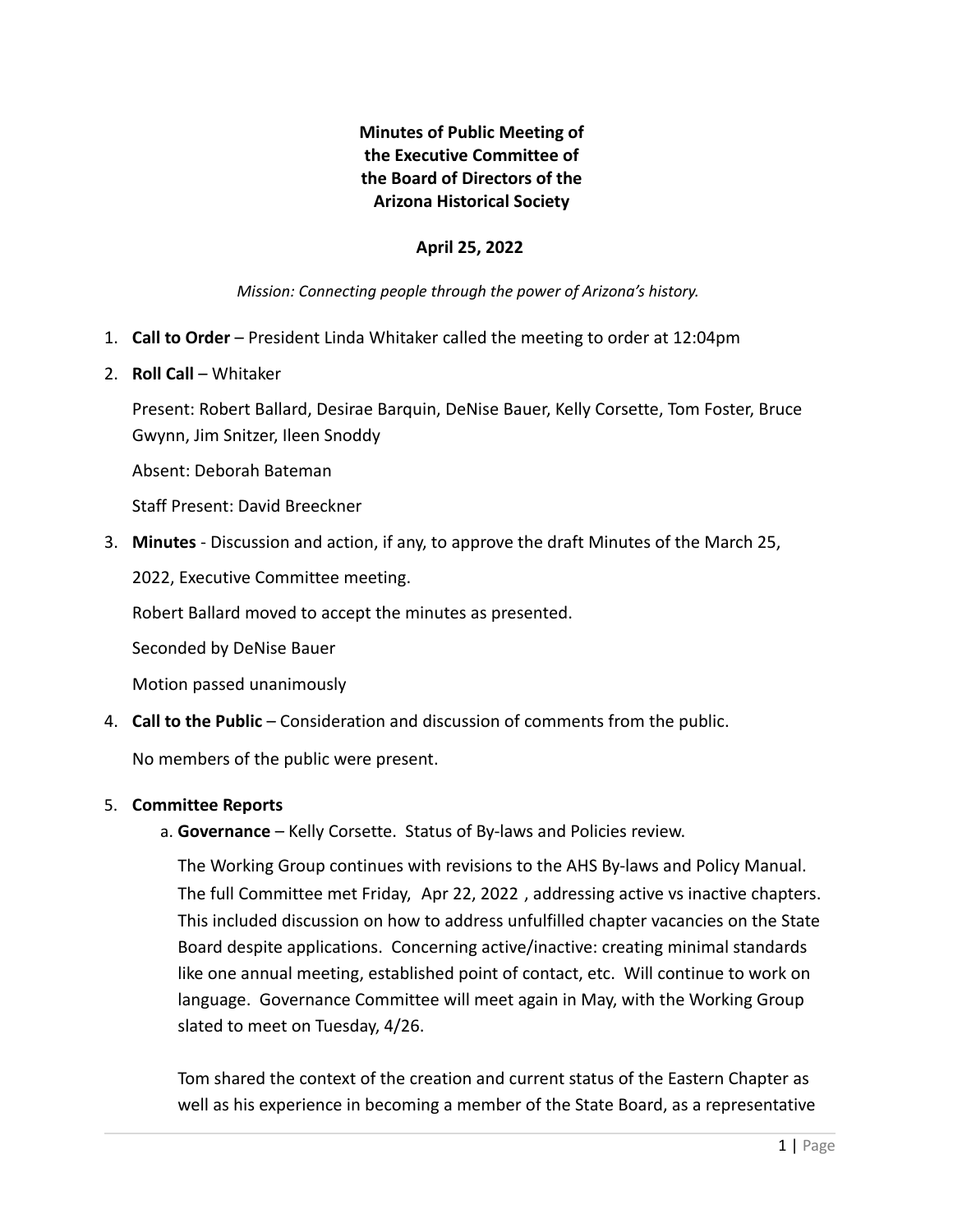# **Minutes of Public Meeting of the Executive Committee of the Board of Directors of the Arizona Historical Society**

# **April 25, 2022**

*Mission: Connecting people through the power of Arizona's history.*

- 1. **Call to Order** President Linda Whitaker called the meeting to order at 12:04pm
- 2. **Roll Call** Whitaker

Present: Robert Ballard, Desirae Barquin, DeNise Bauer, Kelly Corsette, Tom Foster, Bruce Gwynn, Jim Snitzer, Ileen Snoddy

Absent: Deborah Bateman

Staff Present: David Breeckner

3. **Minutes** - Discussion and action, if any, to approve the draft Minutes of the March 25,

2022, Executive Committee meeting.

Robert Ballard moved to accept the minutes as presented.

Seconded by DeNise Bauer

Motion passed unanimously

4. **Call to the Public** – Consideration and discussion of comments from the public.

No members of the public were present.

## 5. **Committee Reports**

a. **Governance** – Kelly Corsette. Status of By-laws and Policies review.

The Working Group continues with revisions to the AHS By-laws and Policy Manual. The full Committee met Friday, Apr 22, 2022 , addressing active vs inactive chapters. This included discussion on how to address unfulfilled chapter vacancies on the State Board despite applications. Concerning active/inactive: creating minimal standards like one annual meeting, established point of contact, etc. Will continue to work on language. Governance Committee will meet again in May, with the Working Group slated to meet on Tuesday, 4/26.

Tom shared the context of the creation and current status of the Eastern Chapter as well as his experience in becoming a member of the State Board, as a representative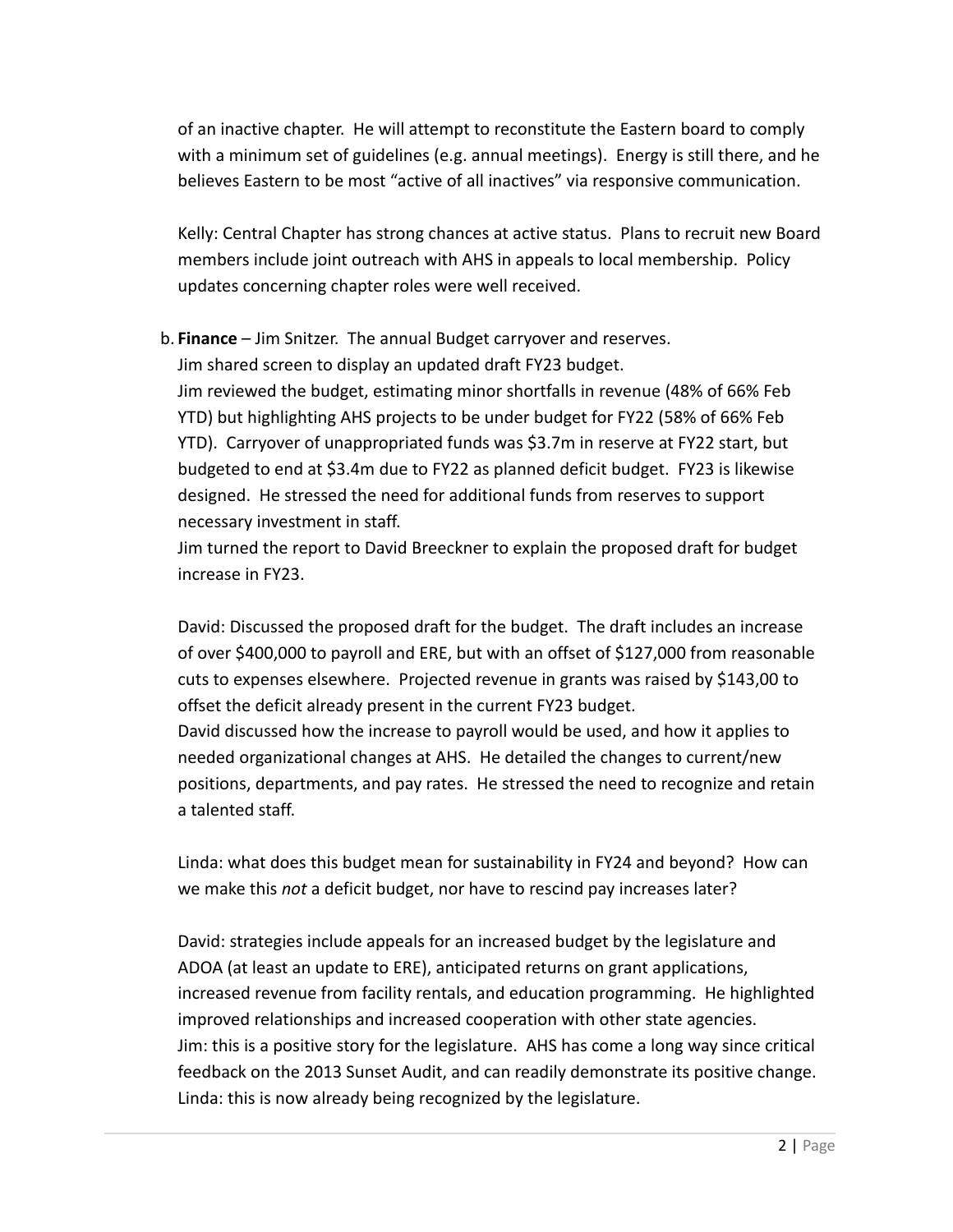of an inactive chapter. He will attempt to reconstitute the Eastern board to comply with a minimum set of guidelines (e.g. annual meetings). Energy is still there, and he believes Eastern to be most "active of all inactives" via responsive communication.

Kelly: Central Chapter has strong chances at active status. Plans to recruit new Board members include joint outreach with AHS in appeals to local membership. Policy updates concerning chapter roles were well received.

b. **Finance** – Jim Snitzer. The annual Budget carryover and reserves. Jim shared screen to display an updated draft FY23 budget. Jim reviewed the budget, estimating minor shortfalls in revenue (48% of 66% Feb YTD) but highlighting AHS projects to be under budget for FY22 (58% of 66% Feb YTD). Carryover of unappropriated funds was \$3.7m in reserve at FY22 start, but budgeted to end at \$3.4m due to FY22 as planned deficit budget. FY23 is likewise designed. He stressed the need for additional funds from reserves to support necessary investment in staff.

Jim turned the report to David Breeckner to explain the proposed draft for budget increase in FY23.

David: Discussed the proposed draft for the budget. The draft includes an increase of over \$400,000 to payroll and ERE, but with an offset of \$127,000 from reasonable cuts to expenses elsewhere. Projected revenue in grants was raised by \$143,00 to offset the deficit already present in the current FY23 budget.

David discussed how the increase to payroll would be used, and how it applies to needed organizational changes at AHS. He detailed the changes to current/new positions, departments, and pay rates. He stressed the need to recognize and retain a talented staff.

Linda: what does this budget mean for sustainability in FY24 and beyond? How can we make this *not* a deficit budget, nor have to rescind pay increases later?

David: strategies include appeals for an increased budget by the legislature and ADOA (at least an update to ERE), anticipated returns on grant applications, increased revenue from facility rentals, and education programming. He highlighted improved relationships and increased cooperation with other state agencies. Jim: this is a positive story for the legislature. AHS has come a long way since critical feedback on the 2013 Sunset Audit, and can readily demonstrate its positive change. Linda: this is now already being recognized by the legislature.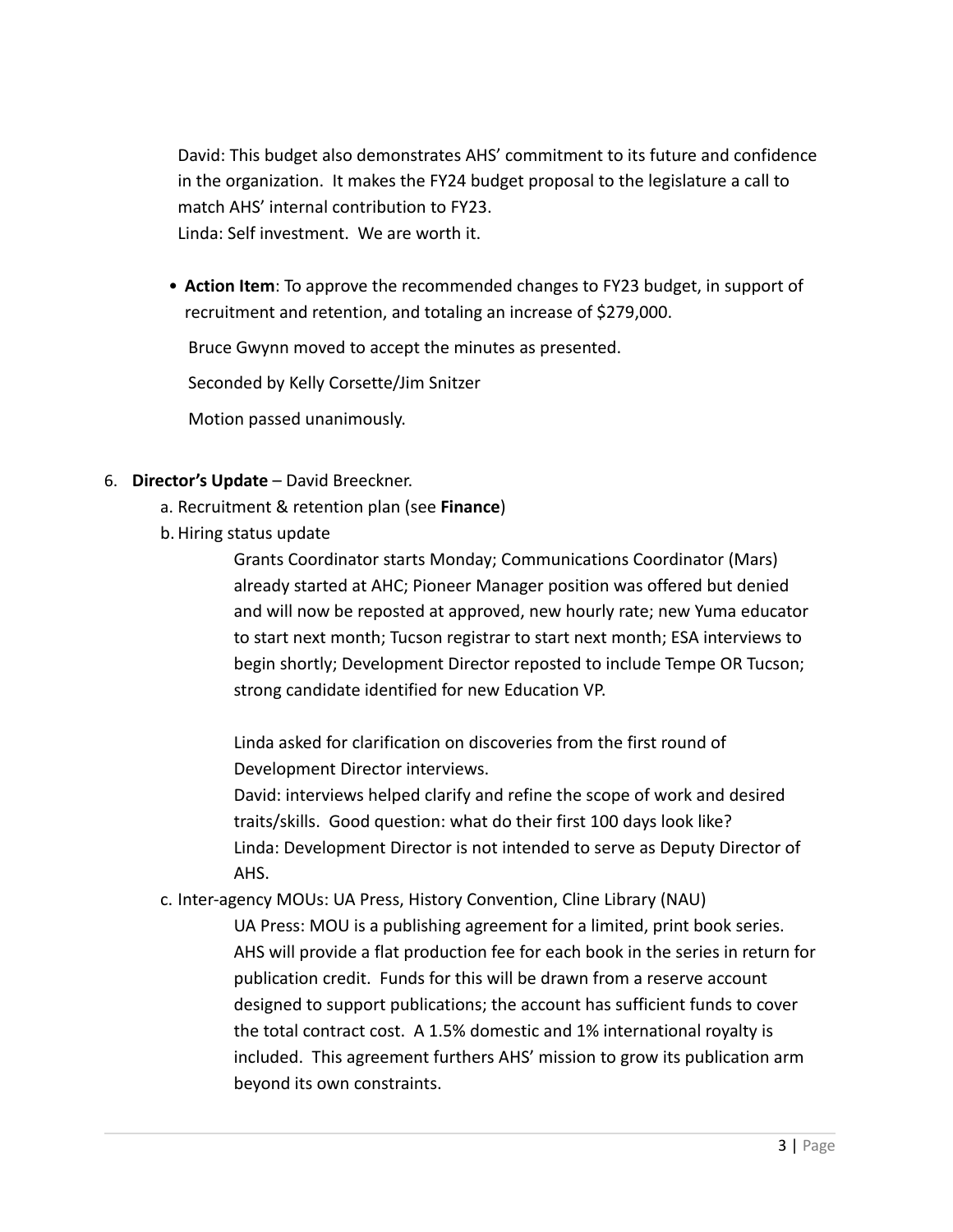David: This budget also demonstrates AHS' commitment to its future and confidence in the organization. It makes the FY24 budget proposal to the legislature a call to match AHS' internal contribution to FY23. Linda: Self investment. We are worth it.

• **Action Item**: To approve the recommended changes to FY23 budget, in support of recruitment and retention, and totaling an increase of \$279,000.

Bruce Gwynn moved to accept the minutes as presented.

Seconded by Kelly Corsette/Jim Snitzer

Motion passed unanimously.

- 6. **Director's Update** David Breeckner.
	- a. Recruitment & retention plan (see **Finance**)
	- b. Hiring status update

Grants Coordinator starts Monday; Communications Coordinator (Mars) already started at AHC; Pioneer Manager position was offered but denied and will now be reposted at approved, new hourly rate; new Yuma educator to start next month; Tucson registrar to start next month; ESA interviews to begin shortly; Development Director reposted to include Tempe OR Tucson; strong candidate identified for new Education VP.

Linda asked for clarification on discoveries from the first round of Development Director interviews.

David: interviews helped clarify and refine the scope of work and desired traits/skills. Good question: what do their first 100 days look like? Linda: Development Director is not intended to serve as Deputy Director of AHS.

c. Inter-agency MOUs: UA Press, History Convention, Cline Library (NAU)

UA Press: MOU is a publishing agreement for a limited, print book series. AHS will provide a flat production fee for each book in the series in return for publication credit. Funds for this will be drawn from a reserve account designed to support publications; the account has sufficient funds to cover the total contract cost. A 1.5% domestic and 1% international royalty is included. This agreement furthers AHS' mission to grow its publication arm beyond its own constraints.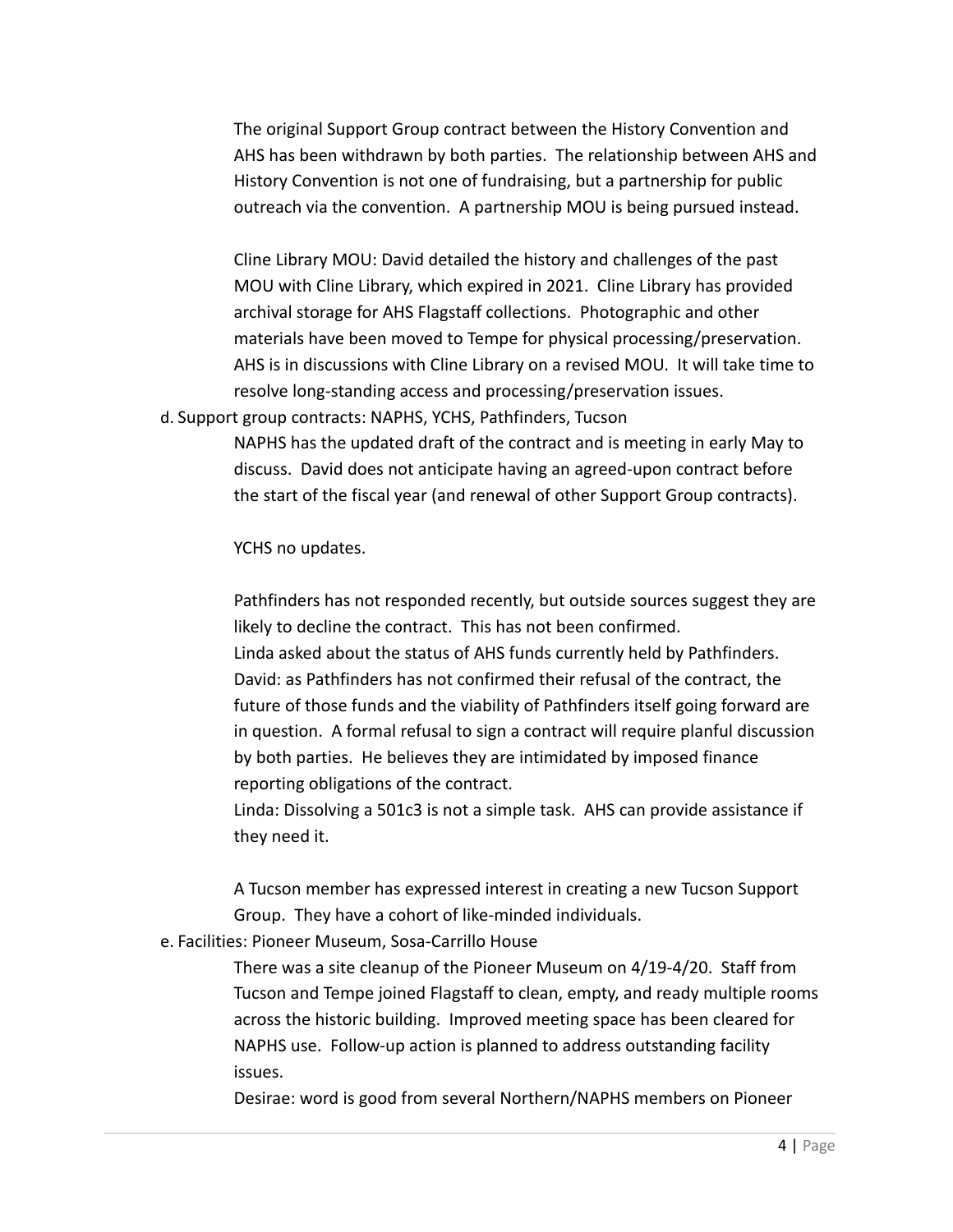The original Support Group contract between the History Convention and AHS has been withdrawn by both parties. The relationship between AHS and History Convention is not one of fundraising, but a partnership for public outreach via the convention. A partnership MOU is being pursued instead.

Cline Library MOU: David detailed the history and challenges of the past MOU with Cline Library, which expired in 2021. Cline Library has provided archival storage for AHS Flagstaff collections. Photographic and other materials have been moved to Tempe for physical processing/preservation. AHS is in discussions with Cline Library on a revised MOU. It will take time to resolve long-standing access and processing/preservation issues.

d. Support group contracts: NAPHS, YCHS, Pathfinders, Tucson

NAPHS has the updated draft of the contract and is meeting in early May to discuss. David does not anticipate having an agreed-upon contract before the start of the fiscal year (and renewal of other Support Group contracts).

YCHS no updates.

Pathfinders has not responded recently, but outside sources suggest they are likely to decline the contract. This has not been confirmed.

Linda asked about the status of AHS funds currently held by Pathfinders. David: as Pathfinders has not confirmed their refusal of the contract, the future of those funds and the viability of Pathfinders itself going forward are in question. A formal refusal to sign a contract will require planful discussion by both parties. He believes they are intimidated by imposed finance reporting obligations of the contract.

Linda: Dissolving a 501c3 is not a simple task. AHS can provide assistance if they need it.

A Tucson member has expressed interest in creating a new Tucson Support Group. They have a cohort of like-minded individuals.

e. Facilities: Pioneer Museum, Sosa-Carrillo House

There was a site cleanup of the Pioneer Museum on 4/19-4/20. Staff from Tucson and Tempe joined Flagstaff to clean, empty, and ready multiple rooms across the historic building. Improved meeting space has been cleared for NAPHS use. Follow-up action is planned to address outstanding facility issues.

Desirae: word is good from several Northern/NAPHS members on Pioneer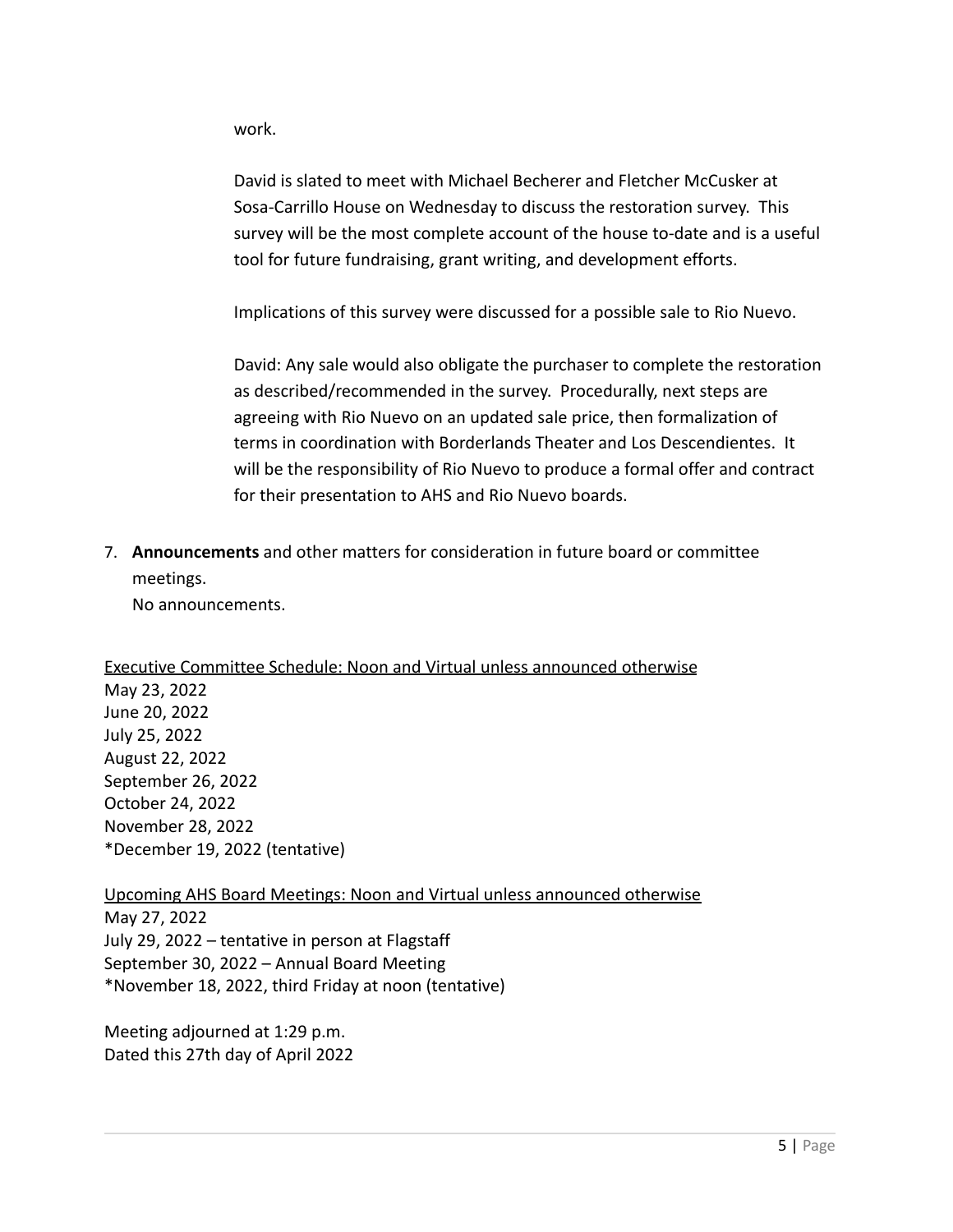work.

David is slated to meet with Michael Becherer and Fletcher McCusker at Sosa-Carrillo House on Wednesday to discuss the restoration survey. This survey will be the most complete account of the house to-date and is a useful tool for future fundraising, grant writing, and development efforts.

Implications of this survey were discussed for a possible sale to Rio Nuevo.

David: Any sale would also obligate the purchaser to complete the restoration as described/recommended in the survey. Procedurally, next steps are agreeing with Rio Nuevo on an updated sale price, then formalization of terms in coordination with Borderlands Theater and Los Descendientes. It will be the responsibility of Rio Nuevo to produce a formal offer and contract for their presentation to AHS and Rio Nuevo boards.

7. **Announcements** and other matters for consideration in future board or committee meetings.

No announcements.

Executive Committee Schedule: Noon and Virtual unless announced otherwise May 23, 2022 June 20, 2022 July 25, 2022 August 22, 2022 September 26, 2022 October 24, 2022 November 28, 2022 \*December 19, 2022 (tentative)

Upcoming AHS Board Meetings: Noon and Virtual unless announced otherwise May 27, 2022 July 29, 2022 – tentative in person at Flagstaff September 30, 2022 – Annual Board Meeting \*November 18, 2022, third Friday at noon (tentative)

Meeting adjourned at 1:29 p.m. Dated this 27th day of April 2022